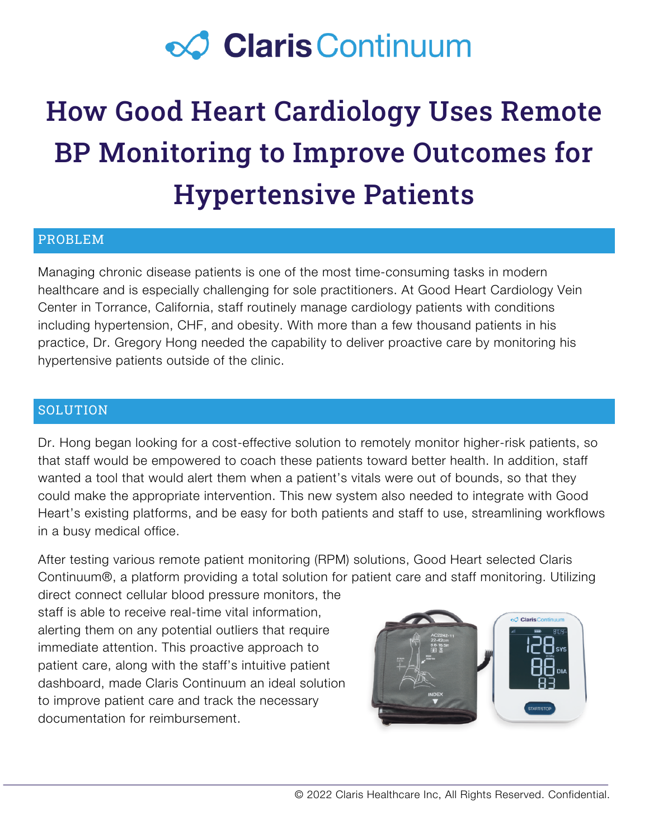## **⊘ Claris Continuum**

# How Good Heart Cardiology Uses Remote BP Monitoring to Improve Outcomes for Hypertensive Patients

## PROBLEM

Managing chronic disease patients is one of the most time-consuming tasks in modern healthcare and is especially challenging for sole practitioners. At Good Heart Cardiology Vein Center in Torrance, California, staff routinely manage cardiology patients with conditions including hypertension, CHF, and obesity. With more than a few thousand patients in his practice, Dr. Gregory Hong needed the capability to deliver proactive care by monitoring his hypertensive patients outside of the clinic.

### **SOLUTION**

Dr. Hong began looking for a cost-effective solution to remotely monitor higher-risk patients, so that staff would be empowered to coach these patients toward better health. In addition, staff wanted a tool that would alert them when a patient's vitals were out of bounds, so that they could make the appropriate intervention. This new system also needed to integrate with Good Heart's existing platforms, and be easy for both patients and staff to use, streamlining workflows in a busy medical office.

After testing various remote patient monitoring (RPM) solutions, Good Heart selected Claris Continuum®, a platform providing a total solution for patient care and staff monitoring. Utilizing

direct connect cellular blood pressure monitors, the staff is able to receive real-time vital information, alerting them on any potential outliers that require immediate attention. This proactive approach to patient care, along with the staff's intuitive patient dashboard, made Claris Continuum an ideal solution to improve patient care and track the necessary documentation for reimbursement.

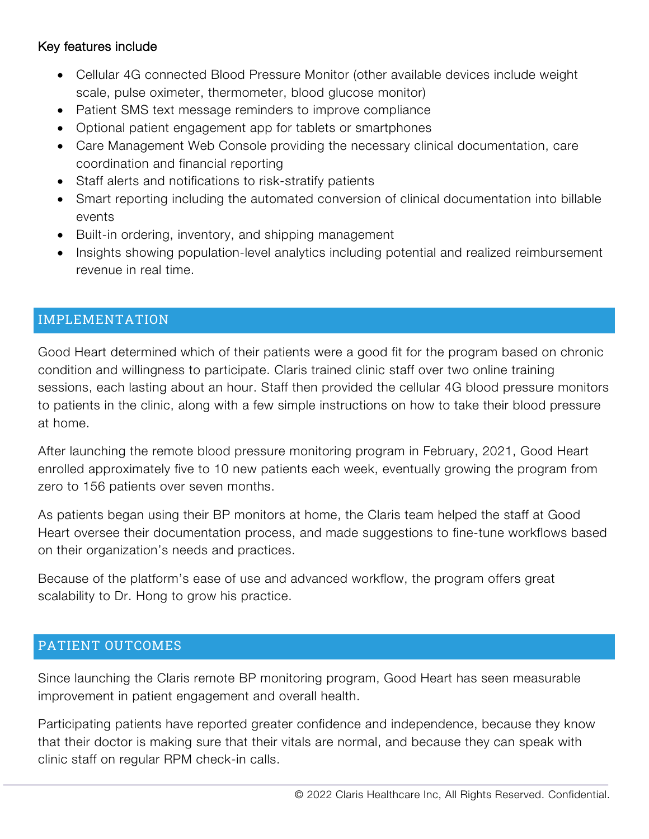## Key features include

- Cellular 4G connected Blood Pressure Monitor (other available devices include weight scale, pulse oximeter, thermometer, blood glucose monitor)
- Patient SMS text message reminders to improve compliance
- Optional patient engagement app for tablets or smartphones
- Care Management Web Console providing the necessary clinical documentation, care coordination and financial reporting
- Staff alerts and notifications to risk-stratify patients
- Smart reporting including the automated conversion of clinical documentation into billable events
- Built-in ordering, inventory, and shipping management
- Insights showing population-level analytics including potential and realized reimbursement revenue in real time.

## IMPLEMENTATION

Good Heart determined which of their patients were a good fit for the program based on chronic condition and willingness to participate. Claris trained clinic staff over two online training sessions, each lasting about an hour. Staff then provided the cellular 4G blood pressure monitors to patients in the clinic, along with a few simple instructions on how to take their blood pressure at home.

After launching the remote blood pressure monitoring program in February, 2021, Good Heart enrolled approximately five to 10 new patients each week, eventually growing the program from zero to 156 patients over seven months.

As patients began using their BP monitors at home, the Claris team helped the staff at Good Heart oversee their documentation process, and made suggestions to fine-tune workflows based on their organization's needs and practices.

Because of the platform's ease of use and advanced workflow, the program offers great scalability to Dr. Hong to grow his practice.

## PATIENT OUTCOMES

Since launching the Claris remote BP monitoring program, Good Heart has seen measurable improvement in patient engagement and overall health.

Participating patients have reported greater confidence and independence, because they know that their doctor is making sure that their vitals are normal, and because they can speak with clinic staff on regular RPM check-in calls.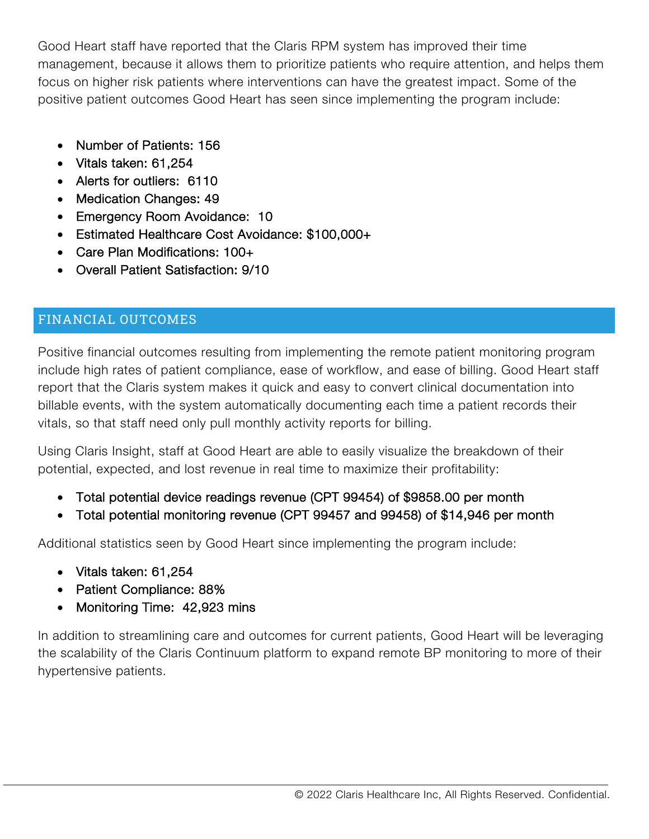Good Heart staff have reported that the Claris RPM system has improved their time management, because it allows them to prioritize patients who require attention, and helps them focus on higher risk patients where interventions can have the greatest impact. Some of the positive patient outcomes Good Heart has seen since implementing the program include:

- Number of Patients: 156
- Vitals taken: 61,254
- Alerts for outliers: 6110
- Medication Changes: 49
- Emergency Room Avoidance: 10
- Estimated Healthcare Cost Avoidance: \$100,000+
- Care Plan Modifications: 100+
- Overall Patient Satisfaction: 9/10

## FINANCIAL OUTCOMES

Positive financial outcomes resulting from implementing the remote patient monitoring program include high rates of patient compliance, ease of workflow, and ease of billing. Good Heart staff report that the Claris system makes it quick and easy to convert clinical documentation into billable events, with the system automatically documenting each time a patient records their vitals, so that staff need only pull monthly activity reports for billing.

Using Claris Insight, staff at Good Heart are able to easily visualize the breakdown of their potential, expected, and lost revenue in real time to maximize their profitability:

- Total potential device readings revenue (CPT 99454) of \$9858.00 per month
- Total potential monitoring revenue (CPT 99457 and 99458) of \$14,946 per month

Additional statistics seen by Good Heart since implementing the program include:

- Vitals taken: 61,254
- Patient Compliance: 88%
- Monitoring Time: 42,923 mins

In addition to streamlining care and outcomes for current patients, Good Heart will be leveraging the scalability of the Claris Continuum platform to expand remote BP monitoring to more of their hypertensive patients.